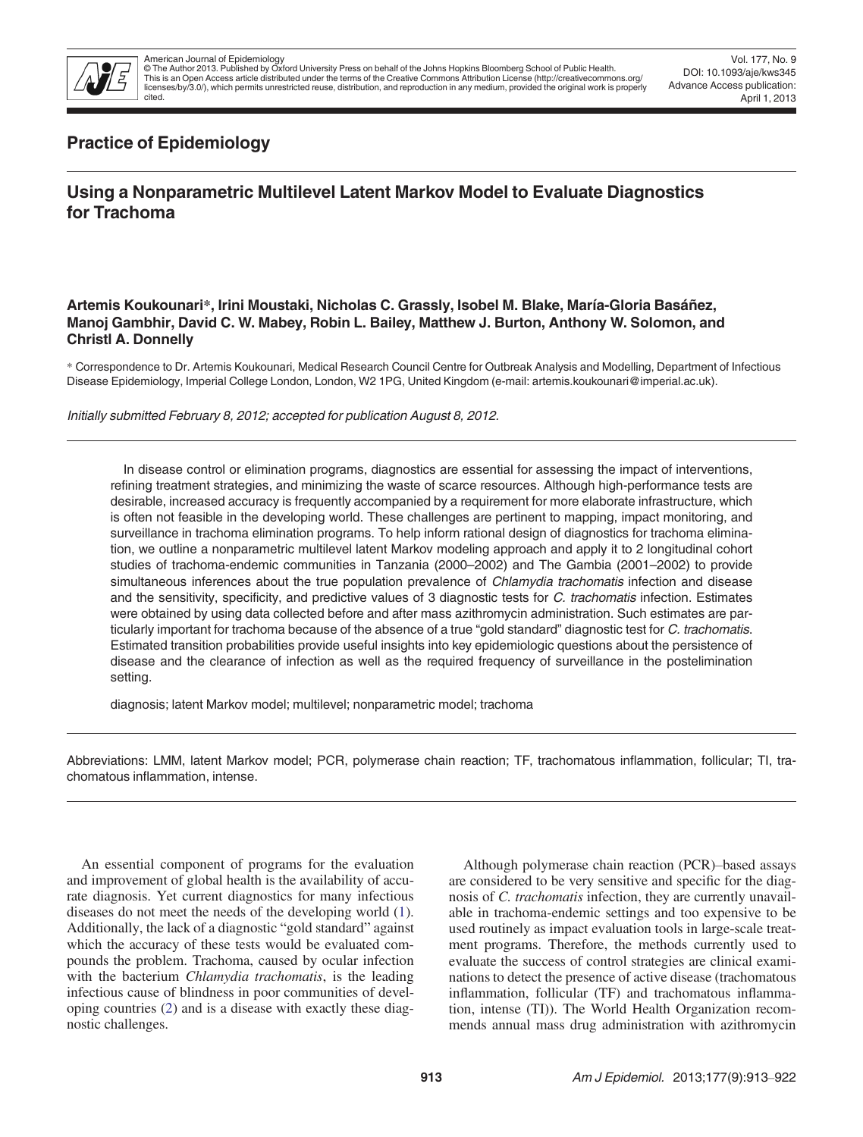

American Journal of Epidemiology © The Author 2013. Published by Oxford University Press on behalf of the Johns Hopkins Bloomberg School of Public Health. This is an Open Access article distributed under the terms of the Creative Commons Attribution License (http://creativecommons.org/<br>licenses/by/3.0/), which permits unrestricted reuse, distribution, and reproduction in any cited.

Vol. 177, No. 9 DOI: 10.1093/aje/kws345 Advance Access publication: April 1, 2013

# Practice of Epidemiology

# Using a Nonparametric Multilevel Latent Markov Model to Evaluate Diagnostics for Trachoma

### Artemis Koukounari\*, Irini Moustaki, Nicholas C. Grassly, Isobel M. Blake, María-Gloria Basáñez, Manoj Gambhir, David C. W. Mabey, Robin L. Bailey, Matthew J. Burton, Anthony W. Solomon, and Christl A. Donnelly

\* Correspondence to Dr. Artemis Koukounari, Medical Research Council Centre for Outbreak Analysis and Modelling, Department of Infectious Disease Epidemiology, Imperial College London, London, W2 1PG, United Kingdom (e-mail: artemis.koukounari@imperial.ac.uk).

Initially submitted February 8, 2012; accepted for publication August 8, 2012.

In disease control or elimination programs, diagnostics are essential for assessing the impact of interventions, refining treatment strategies, and minimizing the waste of scarce resources. Although high-performance tests are desirable, increased accuracy is frequently accompanied by a requirement for more elaborate infrastructure, which is often not feasible in the developing world. These challenges are pertinent to mapping, impact monitoring, and surveillance in trachoma elimination programs. To help inform rational design of diagnostics for trachoma elimination, we outline a nonparametric multilevel latent Markov modeling approach and apply it to 2 longitudinal cohort studies of trachoma-endemic communities in Tanzania (2000–2002) and The Gambia (2001–2002) to provide simultaneous inferences about the true population prevalence of Chlamydia trachomatis infection and disease and the sensitivity, specificity, and predictive values of 3 diagnostic tests for C. trachomatis infection. Estimates were obtained by using data collected before and after mass azithromycin administration. Such estimates are particularly important for trachoma because of the absence of a true "gold standard" diagnostic test for C. trachomatis. Estimated transition probabilities provide useful insights into key epidemiologic questions about the persistence of disease and the clearance of infection as well as the required frequency of surveillance in the postelimination setting.

diagnosis; latent Markov model; multilevel; nonparametric model; trachoma

Abbreviations: LMM, latent Markov model; PCR, polymerase chain reaction; TF, trachomatous inflammation, follicular; TI, trachomatous inflammation, intense.

An essential component of programs for the evaluation and improvement of global health is the availability of accurate diagnosis. Yet current diagnostics for many infectious diseases do not meet the needs of the developing world [\(1](#page-8-0)). Additionally, the lack of a diagnostic "gold standard" against which the accuracy of these tests would be evaluated compounds the problem. Trachoma, caused by ocular infection with the bacterium Chlamydia trachomatis, is the leading infectious cause of blindness in poor communities of developing countries ([2\)](#page-8-0) and is a disease with exactly these diagnostic challenges.

Although polymerase chain reaction (PCR)–based assays are considered to be very sensitive and specific for the diagnosis of *C. trachomatis* infection, they are currently unavailable in trachoma-endemic settings and too expensive to be used routinely as impact evaluation tools in large-scale treatment programs. Therefore, the methods currently used to evaluate the success of control strategies are clinical examinations to detect the presence of active disease (trachomatous inflammation, follicular (TF) and trachomatous inflammation, intense (TI)). The World Health Organization recommends annual mass drug administration with azithromycin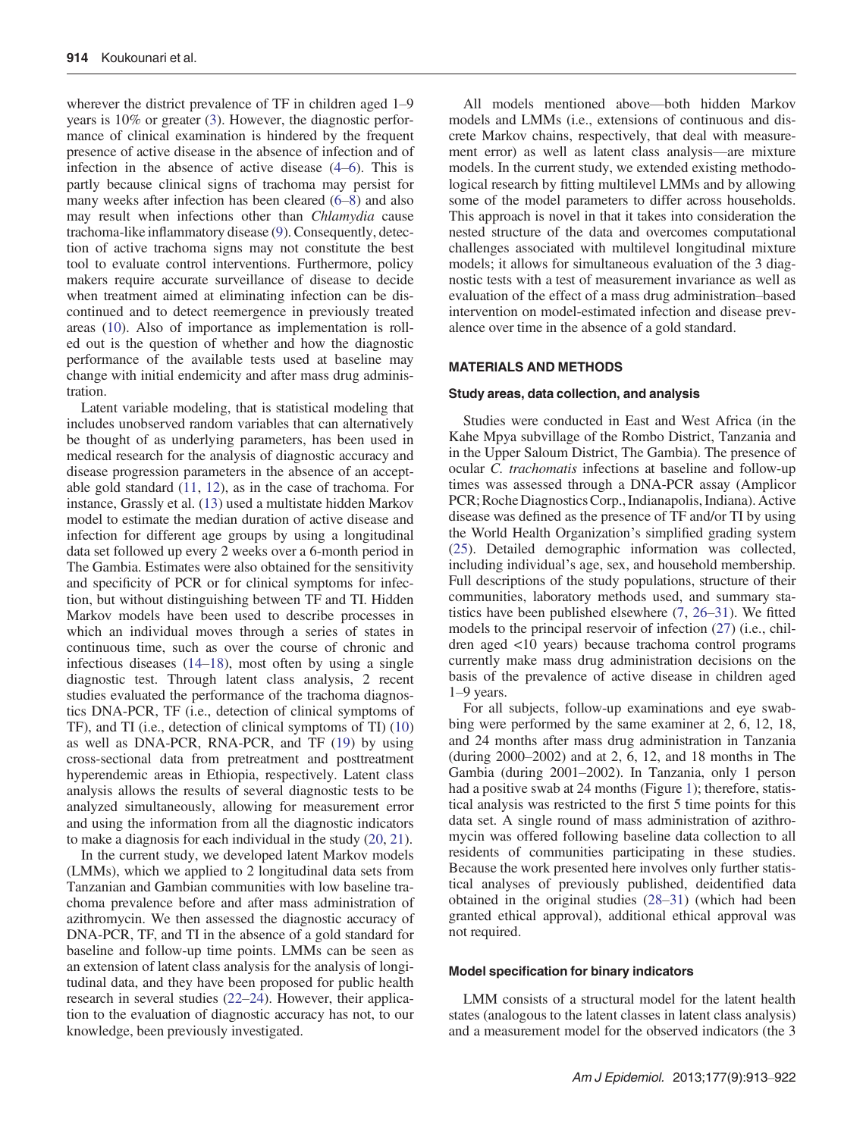wherever the district prevalence of TF in children aged 1–9 years is 10% or greater [\(3](#page-8-0)). However, the diagnostic performance of clinical examination is hindered by the frequent presence of active disease in the absence of infection and of infection in the absence of active disease [\(4](#page-8-0)–[6](#page-8-0)). This is partly because clinical signs of trachoma may persist for many weeks after infection has been cleared [\(6](#page-8-0)–[8](#page-8-0)) and also may result when infections other than Chlamydia cause trachoma-like inflammatory disease ([9\)](#page-8-0). Consequently, detection of active trachoma signs may not constitute the best tool to evaluate control interventions. Furthermore, policy makers require accurate surveillance of disease to decide when treatment aimed at eliminating infection can be discontinued and to detect reemergence in previously treated areas [\(10\)](#page-8-0). Also of importance as implementation is rolled out is the question of whether and how the diagnostic performance of the available tests used at baseline may change with initial endemicity and after mass drug administration.

Latent variable modeling, that is statistical modeling that includes unobserved random variables that can alternatively be thought of as underlying parameters, has been used in medical research for the analysis of diagnostic accuracy and disease progression parameters in the absence of an acceptable gold standard ([11](#page-8-0), [12\)](#page-8-0), as in the case of trachoma. For instance, Grassly et al. [\(13](#page-9-0)) used a multistate hidden Markov model to estimate the median duration of active disease and infection for different age groups by using a longitudinal data set followed up every 2 weeks over a 6-month period in The Gambia. Estimates were also obtained for the sensitivity and specificity of PCR or for clinical symptoms for infection, but without distinguishing between TF and TI. Hidden Markov models have been used to describe processes in which an individual moves through a series of states in continuous time, such as over the course of chronic and infectious diseases [\(14](#page-9-0)–[18](#page-9-0)), most often by using a single diagnostic test. Through latent class analysis, 2 recent studies evaluated the performance of the trachoma diagnostics DNA-PCR, TF (i.e., detection of clinical symptoms of TF), and TI (i.e., detection of clinical symptoms of TI) ([10\)](#page-8-0) as well as DNA-PCR, RNA-PCR, and TF [\(19](#page-9-0)) by using cross-sectional data from pretreatment and posttreatment hyperendemic areas in Ethiopia, respectively. Latent class analysis allows the results of several diagnostic tests to be analyzed simultaneously, allowing for measurement error and using the information from all the diagnostic indicators to make a diagnosis for each individual in the study ([20,](#page-9-0) [21](#page-9-0)).

In the current study, we developed latent Markov models (LMMs), which we applied to 2 longitudinal data sets from Tanzanian and Gambian communities with low baseline trachoma prevalence before and after mass administration of azithromycin. We then assessed the diagnostic accuracy of DNA-PCR, TF, and TI in the absence of a gold standard for baseline and follow-up time points. LMMs can be seen as an extension of latent class analysis for the analysis of longitudinal data, and they have been proposed for public health research in several studies ([22](#page-9-0)–[24\)](#page-9-0). However, their application to the evaluation of diagnostic accuracy has not, to our knowledge, been previously investigated.

All models mentioned above—both hidden Markov models and LMMs (i.e., extensions of continuous and discrete Markov chains, respectively, that deal with measurement error) as well as latent class analysis—are mixture models. In the current study, we extended existing methodological research by fitting multilevel LMMs and by allowing some of the model parameters to differ across households. This approach is novel in that it takes into consideration the nested structure of the data and overcomes computational challenges associated with multilevel longitudinal mixture models; it allows for simultaneous evaluation of the 3 diagnostic tests with a test of measurement invariance as well as evaluation of the effect of a mass drug administration–based intervention on model-estimated infection and disease prevalence over time in the absence of a gold standard.

#### MATERIALS AND METHODS

#### Study areas, data collection, and analysis

Studies were conducted in East and West Africa (in the Kahe Mpya subvillage of the Rombo District, Tanzania and in the Upper Saloum District, The Gambia). The presence of ocular C. trachomatis infections at baseline and follow-up times was assessed through a DNA-PCR assay (Amplicor PCR; Roche Diagnostics Corp., Indianapolis, Indiana). Active disease was defined as the presence of TF and/or TI by using the World Health Organization's simplified grading system [\(25](#page-9-0)). Detailed demographic information was collected, including individual's age, sex, and household membership. Full descriptions of the study populations, structure of their communities, laboratory methods used, and summary statistics have been published elsewhere [\(7](#page-8-0), [26](#page-9-0)–[31\)](#page-9-0). We fitted models to the principal reservoir of infection [\(27](#page-9-0)) (i.e., children aged <10 years) because trachoma control programs currently make mass drug administration decisions on the basis of the prevalence of active disease in children aged 1–9 years.

For all subjects, follow-up examinations and eye swabbing were performed by the same examiner at 2, 6, 12, 18, and 24 months after mass drug administration in Tanzania (during 2000–2002) and at 2, 6, 12, and 18 months in The Gambia (during 2001–2002). In Tanzania, only 1 person had a positive swab at 24 months (Figure [1\)](#page-2-0); therefore, statistical analysis was restricted to the first 5 time points for this data set. A single round of mass administration of azithromycin was offered following baseline data collection to all residents of communities participating in these studies. Because the work presented here involves only further statistical analyses of previously published, deidentified data obtained in the original studies ([28](#page-9-0)–[31\)](#page-9-0) (which had been granted ethical approval), additional ethical approval was not required.

#### Model specification for binary indicators

LMM consists of a structural model for the latent health states (analogous to the latent classes in latent class analysis) and a measurement model for the observed indicators (the 3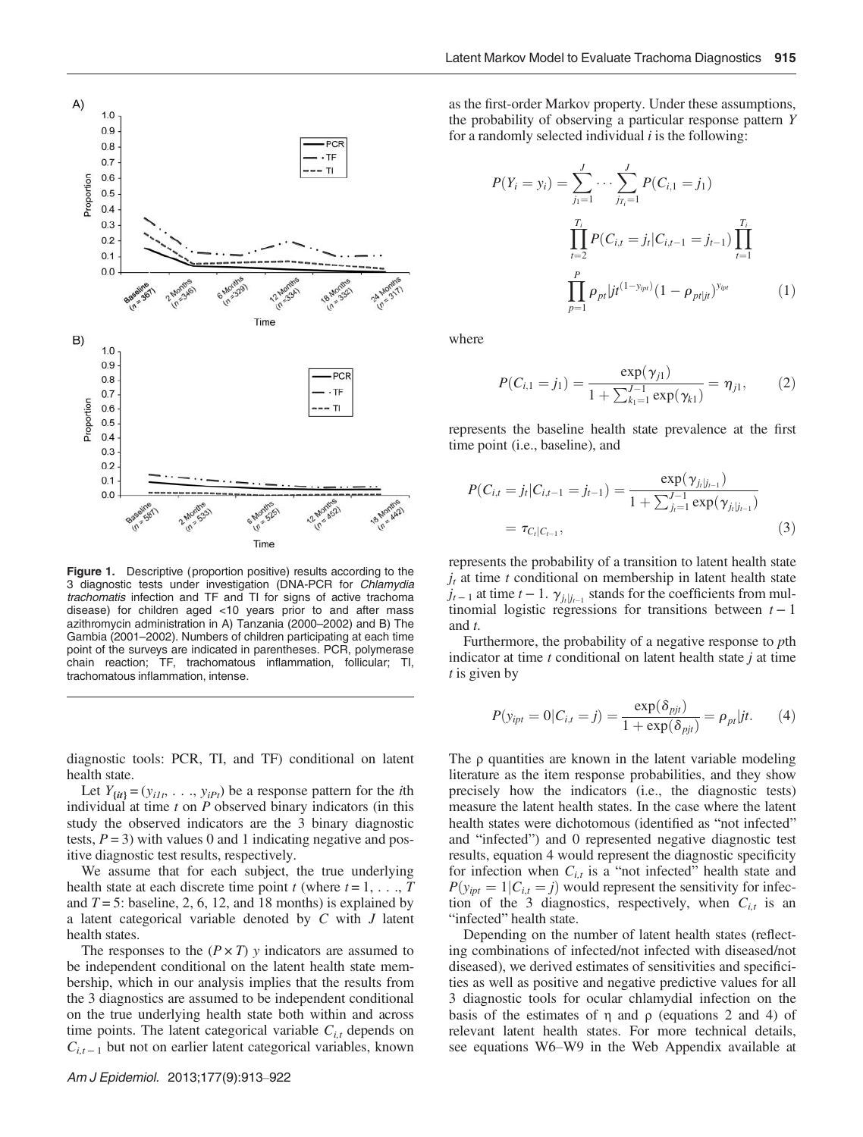<span id="page-2-0"></span>

Figure 1. Descriptive (proportion positive) results according to the 3 diagnostic tests under investigation (DNA-PCR for Chlamydia trachomatis infection and TF and TI for signs of active trachoma disease) for children aged <10 years prior to and after mass azithromycin administration in A) Tanzania (2000–2002) and B) The Gambia (2001–2002). Numbers of children participating at each time point of the surveys are indicated in parentheses. PCR, polymerase chain reaction; TF, trachomatous inflammation, follicular; TI, trachomatous inflammation, intense.

diagnostic tools: PCR, TI, and TF) conditional on latent health state.

Let  $Y_{\{it\}} = (y_{i1t}, \ldots, y_{iPt})$  be a response pattern for the *i*th individual at time  $t$  on  $P$  observed binary indicators (in this study the observed indicators are the 3 binary diagnostic tests,  $P = 3$ ) with values 0 and 1 indicating negative and positive diagnostic test results, respectively.

We assume that for each subject, the true underlying health state at each discrete time point t (where  $t = 1, \ldots, T$ and  $T = 5$ : baseline, 2, 6, 12, and 18 months) is explained by a latent categorical variable denoted by C with J latent health states.

The responses to the  $(P \times T)$  y indicators are assumed to be independent conditional on the latent health state membership, which in our analysis implies that the results from the 3 diagnostics are assumed to be independent conditional on the true underlying health state both within and across time points. The latent categorical variable  $C_{i,t}$  depends on  $C_{i,t-1}$  but not on earlier latent categorical variables, known as the first-order Markov property. Under these assumptions, the probability of observing a particular response pattern Y for a randomly selected individual  $i$  is the following:

$$
P(Y_i = y_i) = \sum_{j_1=1}^{J} \cdots \sum_{j_{T_i}=1}^{J} P(C_{i,1} = j_1)
$$

$$
\prod_{t=2}^{T_i} P(C_{i,t} = j_t | C_{i,t-1} = j_{t-1}) \prod_{t=1}^{T_i}
$$

$$
\prod_{p=1}^{P} \rho_{pt} |jt^{(1-y_{ip})} (1 - \rho_{pt}|_{jt})^{y_{ipt}}
$$
(1)

where

$$
P(C_{i,1} = j_1) = \frac{\exp(\gamma_{j1})}{1 + \sum_{k_1=1}^{J-1} \exp(\gamma_{k1})} = \eta_{j1}, \qquad (2)
$$

represents the baseline health state prevalence at the first time point (i.e., baseline), and

$$
P(C_{i,t} = j_t | C_{i,t-1} = j_{t-1}) = \frac{\exp(\gamma_{j_t | j_{t-1}})}{1 + \sum_{j_t=1}^{J-1} \exp(\gamma_{j_t | j_{t-1}})}
$$
  
=  $\tau_{C_t | C_{t-1}},$  (3)

represents the probability of a transition to latent health state  $j_t$  at time t conditional on membership in latent health state  $j_{t-1}$  at time  $t-1$ .  $\gamma_{j_t|j_{t-1}}$  stands for the coefficients from multinomial logistic regressions for transitions between  $t - 1$ and t.

Furthermore, the probability of a negative response to pth indicator at time  $t$  conditional on latent health state  $j$  at time  $t$  is given by

$$
P(y_{ipt} = 0 | C_{i,t} = j) = \frac{\exp(\delta_{pit})}{1 + \exp(\delta_{pit})} = \rho_{pt}|jt.
$$
 (4)

The ρ quantities are known in the latent variable modeling literature as the item response probabilities, and they show precisely how the indicators (i.e., the diagnostic tests) measure the latent health states. In the case where the latent health states were dichotomous (identified as "not infected" and "infected") and 0 represented negative diagnostic test results, equation 4 would represent the diagnostic specificity for infection when  $C_{i,t}$  is a "not infected" health state and  $P(y_{ipt} = 1|C_{i,t} = j)$  would represent the sensitivity for infection of the 3 diagnostics, respectively, when  $C_{i,t}$  is an "infected" health state.

Depending on the number of latent health states (reflecting combinations of infected/not infected with diseased/not diseased), we derived estimates of sensitivities and specificities as well as positive and negative predictive values for all 3 diagnostic tools for ocular chlamydial infection on the basis of the estimates of  $\eta$  and  $\rho$  (equations 2 and 4) of relevant latent health states. For more technical details, see equations W6–W9 in the Web Appendix available at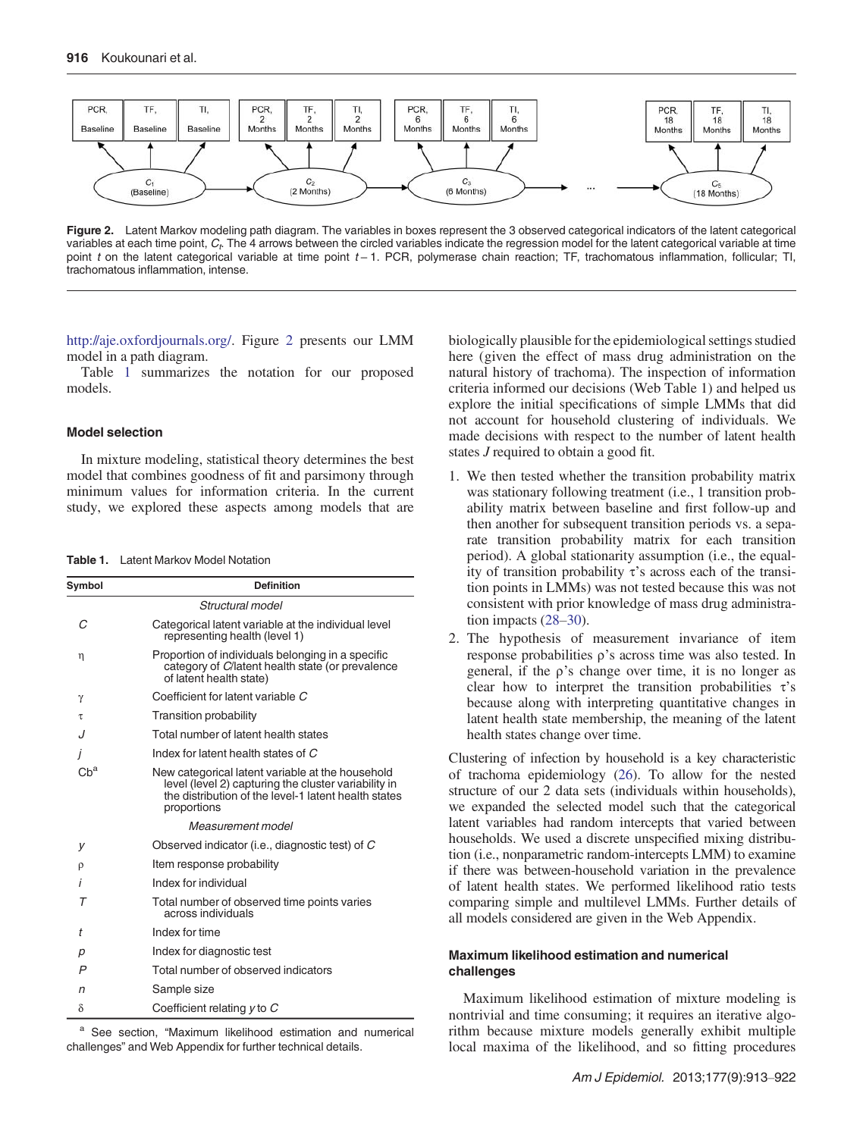<span id="page-3-0"></span>

Figure 2. Latent Markov modeling path diagram. The variables in boxes represent the 3 observed categorical indicators of the latent categorical variables at each time point,  $C_k$ . The 4 arrows between the circled variables indicate the regression model for the latent categorical variable at time point t on the latent categorical variable at time point t - 1. PCR, polymerase chain reaction; TF, trachomatous inflammation, follicular; TI, trachomatous inflammation, intense.

<http://aje.oxfordjournals.org/>. Figure 2 presents our LMM model in a path diagram.

Table 1 summarizes the notation for our proposed models.

#### Model selection

In mixture modeling, statistical theory determines the best model that combines goodness of fit and parsimony through minimum values for information criteria. In the current study, we explored these aspects among models that are

Table 1. Latent Markov Model Notation

| Symbol | <b>Definition</b>                                                                                                                                                               |
|--------|---------------------------------------------------------------------------------------------------------------------------------------------------------------------------------|
|        | Structural model                                                                                                                                                                |
| C      | Categorical latent variable at the individual level<br>representing health (level 1)                                                                                            |
| η      | Proportion of individuals belonging in a specific<br>category of C/latent health state (or prevalence<br>of latent health state)                                                |
| γ      | Coefficient for latent variable C                                                                                                                                               |
| τ      | <b>Transition probability</b>                                                                                                                                                   |
| J      | Total number of latent health states                                                                                                                                            |
| İ      | Index for latent health states of $C$                                                                                                                                           |
| $Cb^a$ | New categorical latent variable at the household<br>level (level 2) capturing the cluster variability in<br>the distribution of the level-1 latent health states<br>proportions |
|        | Measurement model                                                                                                                                                               |
| у      | Observed indicator (i.e., diagnostic test) of C                                                                                                                                 |
| ρ      | Item response probability                                                                                                                                                       |
| i      | Index for individual                                                                                                                                                            |
| $\tau$ | Total number of observed time points varies<br>across individuals                                                                                                               |
| t      | Index for time                                                                                                                                                                  |
| р      | Index for diagnostic test                                                                                                                                                       |
| P      | Total number of observed indicators                                                                                                                                             |
| n      | Sample size                                                                                                                                                                     |
| δ      | Coefficient relating $y$ to $C$                                                                                                                                                 |

a See section, "Maximum likelihood estimation and numerical challenges" and Web Appendix for further technical details.

biologically plausible for the epidemiological settings studied here (given the effect of mass drug administration on the natural history of trachoma). The inspection of information criteria informed our decisions (Web Table 1) and helped us explore the initial specifications of simple LMMs that did not account for household clustering of individuals. We made decisions with respect to the number of latent health states J required to obtain a good fit.

- 1. We then tested whether the transition probability matrix was stationary following treatment (i.e., 1 transition probability matrix between baseline and first follow-up and then another for subsequent transition periods vs. a separate transition probability matrix for each transition period). A global stationarity assumption (i.e., the equality of transition probability τ's across each of the transition points in LMMs) was not tested because this was not consistent with prior knowledge of mass drug administration impacts [\(28](#page-9-0)–[30](#page-9-0)).
- 2. The hypothesis of measurement invariance of item response probabilities ρ's across time was also tested. In general, if the  $\rho$ 's change over time, it is no longer as clear how to interpret the transition probabilities  $\tau$ 's because along with interpreting quantitative changes in latent health state membership, the meaning of the latent health states change over time.

Clustering of infection by household is a key characteristic of trachoma epidemiology ([26](#page-9-0)). To allow for the nested structure of our 2 data sets (individuals within households), we expanded the selected model such that the categorical latent variables had random intercepts that varied between households. We used a discrete unspecified mixing distribution (i.e., nonparametric random-intercepts LMM) to examine if there was between-household variation in the prevalence of latent health states. We performed likelihood ratio tests comparing simple and multilevel LMMs. Further details of all models considered are given in the Web Appendix.

### Maximum likelihood estimation and numerical challenges

Maximum likelihood estimation of mixture modeling is nontrivial and time consuming; it requires an iterative algorithm because mixture models generally exhibit multiple local maxima of the likelihood, and so fitting procedures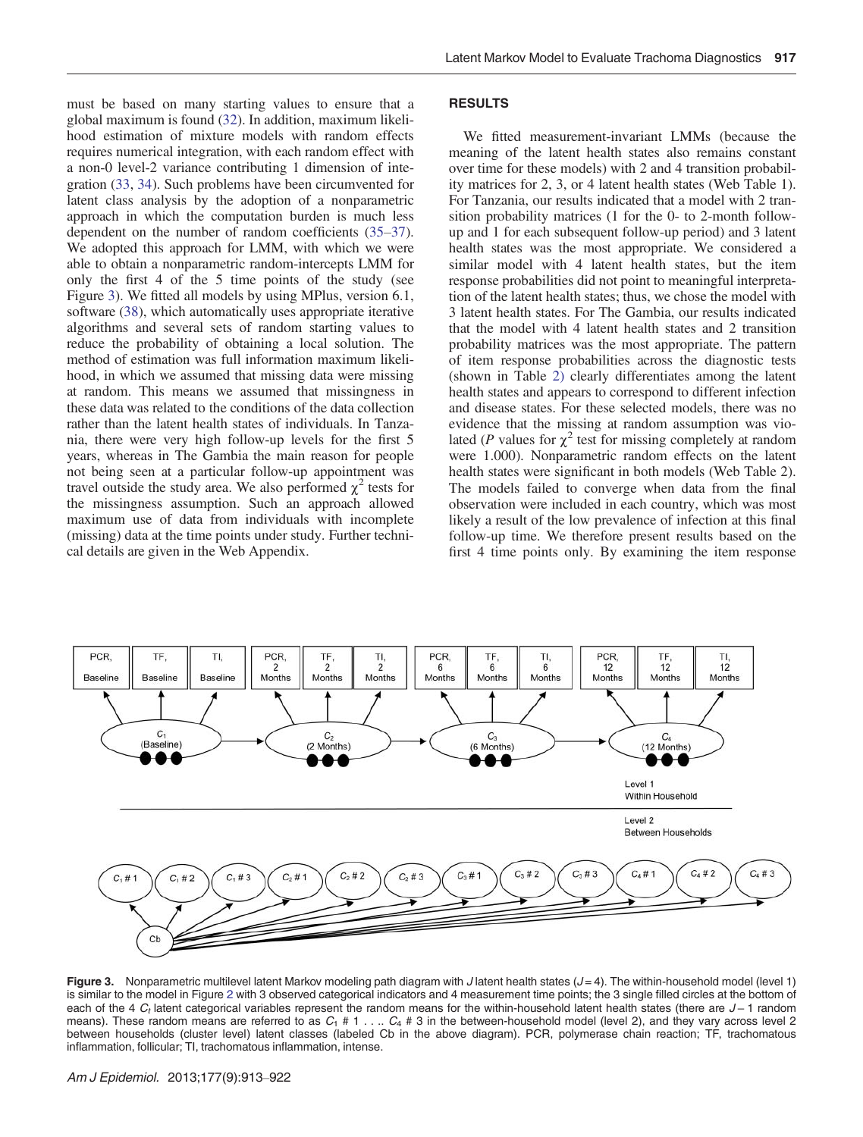must be based on many starting values to ensure that a global maximum is found [\(32](#page-9-0)). In addition, maximum likelihood estimation of mixture models with random effects requires numerical integration, with each random effect with a non-0 level-2 variance contributing 1 dimension of integration [\(33,](#page-9-0) [34\)](#page-9-0). Such problems have been circumvented for latent class analysis by the adoption of a nonparametric approach in which the computation burden is much less dependent on the number of random coefficients [\(35](#page-9-0)–[37](#page-9-0)). We adopted this approach for LMM, with which we were able to obtain a nonparametric random-intercepts LMM for only the first 4 of the 5 time points of the study (see Figure 3). We fitted all models by using MPlus, version 6.1, software [\(38](#page-9-0)), which automatically uses appropriate iterative algorithms and several sets of random starting values to reduce the probability of obtaining a local solution. The method of estimation was full information maximum likelihood, in which we assumed that missing data were missing at random. This means we assumed that missingness in these data was related to the conditions of the data collection rather than the latent health states of individuals. In Tanzania, there were very high follow-up levels for the first 5 years, whereas in The Gambia the main reason for people not being seen at a particular follow-up appointment was travel outside the study area. We also performed  $χ²$  tests for the missingness assumption. Such an approach allowed maximum use of data from individuals with incomplete (missing) data at the time points under study. Further technical details are given in the Web Appendix.

#### RESULTS

We fitted measurement-invariant LMMs (because the meaning of the latent health states also remains constant over time for these models) with 2 and 4 transition probability matrices for 2, 3, or 4 latent health states (Web Table 1). For Tanzania, our results indicated that a model with 2 transition probability matrices (1 for the 0- to 2-month followup and 1 for each subsequent follow-up period) and 3 latent health states was the most appropriate. We considered a similar model with 4 latent health states, but the item response probabilities did not point to meaningful interpretation of the latent health states; thus, we chose the model with 3 latent health states. For The Gambia, our results indicated that the model with 4 latent health states and 2 transition probability matrices was the most appropriate. The pattern of item response probabilities across the diagnostic tests (shown in Table [2\)](#page-5-0) clearly differentiates among the latent health states and appears to correspond to different infection and disease states. For these selected models, there was no evidence that the missing at random assumption was violated (P values for  $\chi^2$  test for missing completely at random were 1.000). Nonparametric random effects on the latent health states were significant in both models (Web Table 2). The models failed to converge when data from the final observation were included in each country, which was most likely a result of the low prevalence of infection at this final follow-up time. We therefore present results based on the first 4 time points only. By examining the item response



Figure 3. Nonparametric multilevel latent Markov modeling path diagram with J latent health states  $(J = 4)$ . The within-household model (level 1) is similar to the model in Figure [2](#page-3-0) with 3 observed categorical indicators and 4 measurement time points; the 3 single filled circles at the bottom of each of the 4 C<sub>t</sub> latent categorical variables represent the random means for the within-household latent health states (there are J – 1 random means). These random means are referred to as  $C_1$  # 1 . . ..  $C_4$  # 3 in the between-household model (level 2), and they vary across level 2 between households (cluster level) latent classes (labeled Cb in the above diagram). PCR, polymerase chain reaction; TF, trachomatous inflammation, follicular; TI, trachomatous inflammation, intense.

Am J Epidemiol. 2013;177(9):913–922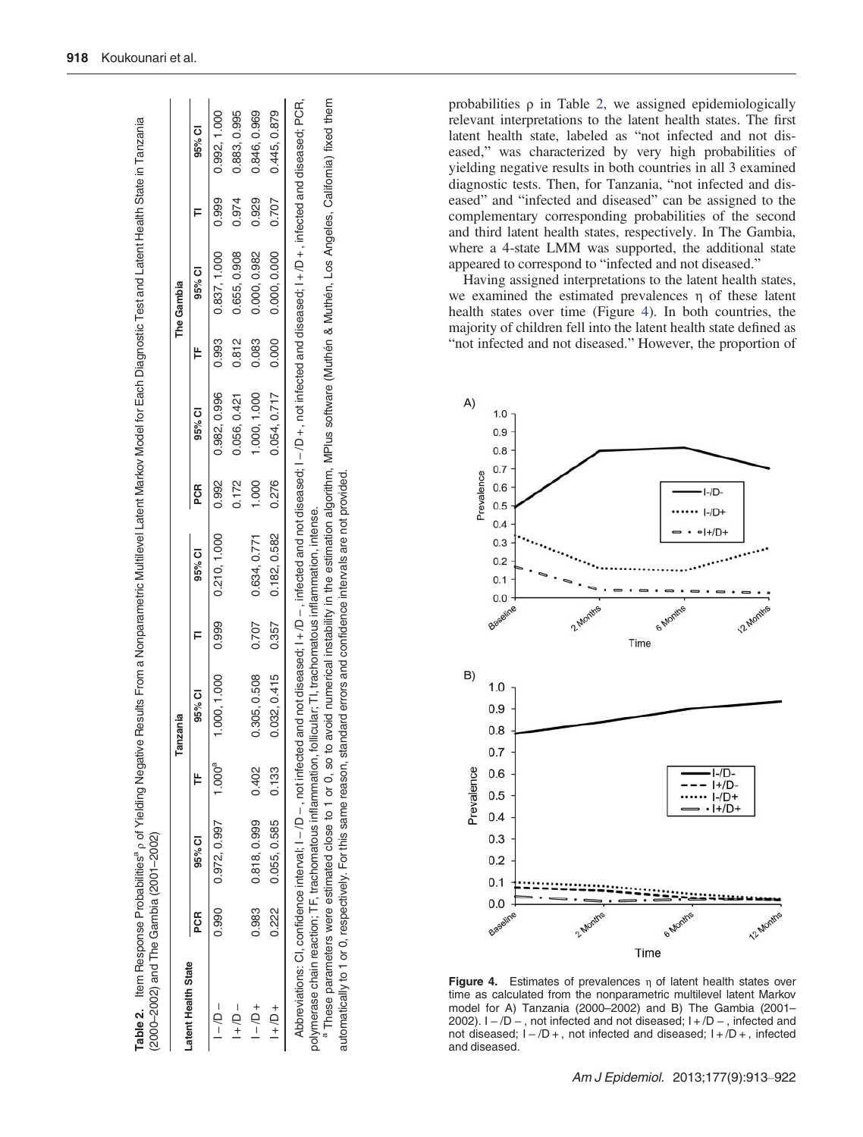<span id="page-5-0"></span>

|                     |          |              |             | Tanzania     |       |              |       |              |       | The Gambia   |       |              |
|---------------------|----------|--------------|-------------|--------------|-------|--------------|-------|--------------|-------|--------------|-------|--------------|
| Latent Health State | PCR<br>P | 95% CI       | ۴           | 95% CI       |       | 95% CI       | PCR   | 95% CI       |       | 95% CI       |       | 95% CI       |
| $-9-$               | 0.990    | 0.972, 0.997 | $1.000^{a}$ | 1.000, 1.000 | 0.999 | 0.210, 1.000 | 0.992 | 0.982.0.996  | 0.993 | 0.837, 1.000 | 0.999 | 0.992, 1.000 |
| $1+7D -$            |          |              |             |              |       |              | 0.172 | 0.056, 0.421 | 0.812 | 0.655, 0.908 | 0.974 | 0.883, 0.995 |
| $-70 +$             | 0.983    | 0.818, 0.999 | 0.402       | 0.305, 0.508 | 0.707 | 0.634, 0.771 | 1.000 | 1.000, 1.000 | 0.083 | 0.000, 0.982 | 0.929 | 0.846, 0.969 |
| $1 + 0 +$           | 0.222    | 0.055, 0.585 | 0.133       | 0.032, 0.415 | 0.357 | 0.182.0.582  | 0.276 | 0.054, 0.717 | 0.000 | 0.000, 0.000 | 0.707 | 0.445, 0.879 |

ltem Response Probabilities<sup>a</sup> o of Yielding Negative Results From a Nonparametric Multilevel Latent Markov Model for Each Diagnostic Test and Latent Health State in Tanzania

Table 2.

 These parameters were estimated close to 1 or 0, so to avoid numerical instability in the estimation algorithm, MPlus software (Muthén & Muthén, Los Angeles, California) fixed them automatically to 1 or 0, respectively. For this same reason, standard errors and confidence intervals are not provided. incorporation of the propertively. For this same reason, standard errors and confidence intervals are not provided<br>automatically to 1 or 0, respectively. For this same reason, standard errors and confidence intervals are n

A)

 $1.0$  $0.9$  $0.8$ 

probabilities ρ in Table 2, we assigned epidemiologically relevant interpretations to the latent health states. The first latent health state, labeled as "not infected and not diseased," was characterized by very high probabilities of yielding negative results in both countries in all 3 examined diagnostic tests. Then, for Tanzania, "not infected and diseased" and "infected and diseased" can be assigned to the complementary corresponding probabilities of the second and third latent health states, respectively. In The Gambia, where a 4-state LMM was supported, the additional state appeared to correspond to "infected and not diseased. "

Having assigned interpretations to the latent health states, we examined the estimated prevalences η of these latent health states over time (Figure 4). In both countries, the majority of children fell into the latent health state de fined as "not infected and not diseased. " However, the proportion of



**Figure 4.** Estimates of prevalences  $\eta$  of latent health states over time as calculated from the nonparametric multilevel latent Markov model for A) Tanzania (2000 –2002) and B) The Gambia (2001 – 2002). I – /D – , not infected and not diseased; I + /D – , infected and not diseased; I - /D +, not infected and diseased; I + /D +, infected and diseased.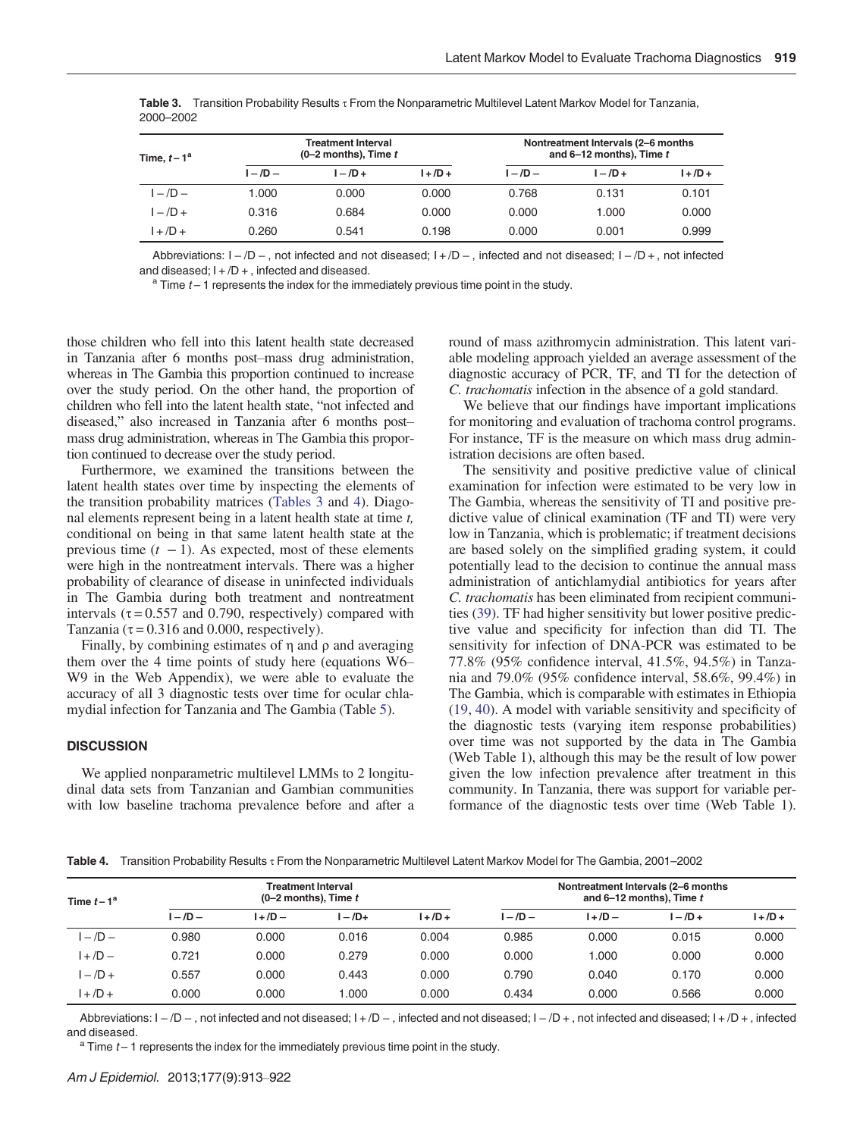| Time, $t-1^a$ |            | <b>Treatment Interval</b><br>$(0-2$ months), Time $t$ |            |            | Nontreatment Intervals (2-6 months)<br>and $6-12$ months), Time $t$ |            |
|---------------|------------|-------------------------------------------------------|------------|------------|---------------------------------------------------------------------|------------|
|               | $I - ID -$ | $I - /D +$                                            | $I + /D +$ | $I - ID -$ | $I - /D +$                                                          | $1 + /D +$ |
| $I - /D -$    | 1.000      | 0.000                                                 | 0.000      | 0.768      | 0.131                                                               | 0.101      |
| $I - /D +$    | 0.316      | 0.684                                                 | 0.000      | 0.000      | 1.000                                                               | 0.000      |
| $I + /D +$    | 0.260      | 0.541                                                 | 0.198      | 0.000      | 0.001                                                               | 0.999      |

<span id="page-6-0"></span>Table 3. Transition Probability Results τ From the Nonparametric Multilevel Latent Markov Model for Tanzania, 2000–2002

Abbreviations: I − /D − , not infected and not diseased; I + /D − , infected and not diseased; I − /D + , not infected and diseased;  $I + /D +$ , infected and diseased.<br><sup>a</sup> Time t – 1 represents the index for the immediately previous time point in the study.

those children who fell into this latent health state decreased in Tanzania after 6 months post–mass drug administration, whereas in The Gambia this proportion continued to increase over the study period. On the other hand, the proportion of children who fell into the latent health state, "not infected and diseased," also increased in Tanzania after 6 months post– mass drug administration, whereas in The Gambia this proportion continued to decrease over the study period.

Furthermore, we examined the transitions between the latent health states over time by inspecting the elements of the transition probability matrices (Tables 3 and 4). Diagonal elements represent being in a latent health state at time t, conditional on being in that same latent health state at the previous time  $(t - 1)$ . As expected, most of these elements were high in the nontreatment intervals. There was a higher probability of clearance of disease in uninfected individuals in The Gambia during both treatment and nontreatment intervals ( $\tau$  = 0.557 and 0.790, respectively) compared with Tanzania ( $\tau$  = 0.316 and 0.000, respectively).

Finally, by combining estimates of  $\eta$  and  $\rho$  and averaging them over the 4 time points of study here (equations W6– W9 in the Web Appendix), we were able to evaluate the accuracy of all 3 diagnostic tests over time for ocular chlamydial infection for Tanzania and The Gambia (Table [5](#page-7-0)).

#### **DISCUSSION**

We applied nonparametric multilevel LMMs to 2 longitudinal data sets from Tanzanian and Gambian communities with low baseline trachoma prevalence before and after a round of mass azithromycin administration. This latent variable modeling approach yielded an average assessment of the diagnostic accuracy of PCR, TF, and TI for the detection of C. trachomatis infection in the absence of a gold standard.

We believe that our findings have important implications for monitoring and evaluation of trachoma control programs. For instance, TF is the measure on which mass drug administration decisions are often based.

The sensitivity and positive predictive value of clinical examination for infection were estimated to be very low in The Gambia, whereas the sensitivity of TI and positive predictive value of clinical examination (TF and TI) were very low in Tanzania, which is problematic; if treatment decisions are based solely on the simplified grading system, it could potentially lead to the decision to continue the annual mass administration of antichlamydial antibiotics for years after C. trachomatis has been eliminated from recipient communities [\(39](#page-9-0)). TF had higher sensitivity but lower positive predictive value and specificity for infection than did TI. The sensitivity for infection of DNA-PCR was estimated to be 77.8% (95% confidence interval, 41.5%, 94.5%) in Tanzania and 79.0% (95% confidence interval, 58.6%, 99.4%) in The Gambia, which is comparable with estimates in Ethiopia [\(19](#page-9-0), [40](#page-9-0)). A model with variable sensitivity and specificity of the diagnostic tests (varying item response probabilities) over time was not supported by the data in The Gambia (Web Table 1), although this may be the result of low power given the low infection prevalence after treatment in this community. In Tanzania, there was support for variable performance of the diagnostic tests over time (Web Table 1).

Table 4. Transition Probability Results τ From the Nonparametric Multilevel Latent Markov Model for The Gambia, 2001–2002

| Time $t-1^a$ |          | <b>Treatment Interval</b><br>$(0-2$ months), Time $t$ |         |            |                  |            | Nontreatment Intervals (2-6 months)<br>and $6-12$ months), Time $t$ |            |
|--------------|----------|-------------------------------------------------------|---------|------------|------------------|------------|---------------------------------------------------------------------|------------|
|              | l – /D – | $I + /D -$                                            | l – /D+ | $1 + /D +$ | $I - \sqrt{D} -$ | $I + /D -$ | $I - /D +$                                                          | $1 + /D +$ |
| $I - /D -$   | 0.980    | 0.000                                                 | 0.016   | 0.004      | 0.985            | 0.000      | 0.015                                                               | 0.000      |
| $1+$ /D $-$  | 0.721    | 0.000                                                 | 0.279   | 0.000      | 0.000            | 1.000      | 0.000                                                               | 0.000      |
| $I - /D +$   | 0.557    | 0.000                                                 | 0.443   | 0.000      | 0.790            | 0.040      | 0.170                                                               | 0.000      |
| $1 + /D +$   | 0.000    | 0.000                                                 | .000    | 0.000      | 0.434            | 0.000      | 0.566                                                               | 0.000      |

Abbreviations: I − /D − , not infected and not diseased; I + /D − , infected and not diseased; I − /D + , not infected and diseased; I + /D + , infected and diseased.

 $^{\circ}$  Time  $t-1$  represents the index for the immediately previous time point in the study.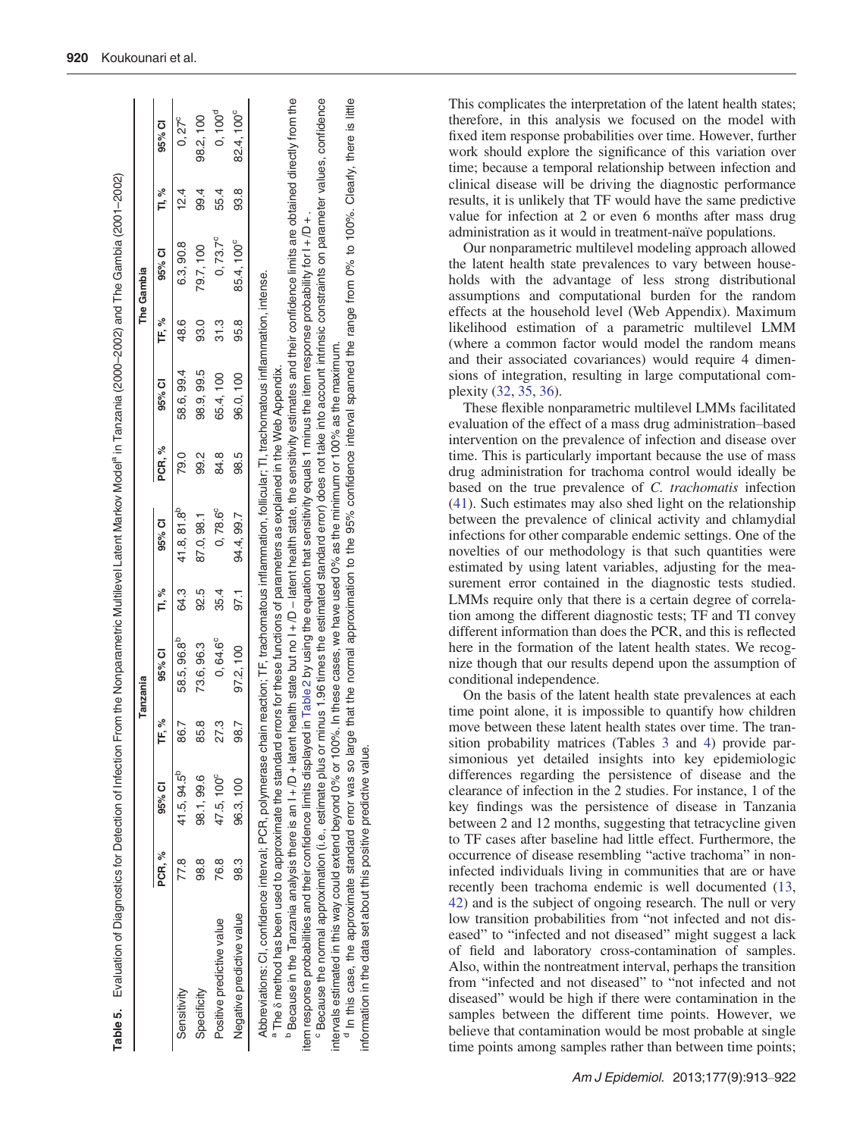<span id="page-7-0"></span>

|                                                                                                                                                                                                              |       |                         |       | Tanzania                |       |                                                                                                                                 |       |           |      | The Gambia       |       |                |
|--------------------------------------------------------------------------------------------------------------------------------------------------------------------------------------------------------------|-------|-------------------------|-------|-------------------------|-------|---------------------------------------------------------------------------------------------------------------------------------|-------|-----------|------|------------------|-------|----------------|
|                                                                                                                                                                                                              | PCR.% | 95% CI                  | TF, % | 95% CI                  | TI. % | 95% CI                                                                                                                          | PCR.% | 95% CI    | TF.% | 95% CI           | Tl. % | 95% CI         |
| Sensitivity                                                                                                                                                                                                  | 77.8  | 41.5, 94.5 <sup>b</sup> | 86.7  | 58.5, 96.8 <sup>p</sup> | 64.3  | 41.8, 81.8 <sup>b</sup>                                                                                                         | 79.0  | 58.6.99.4 | 48.6 | 6.3,90.8         | 12.4  | $0,27^{\circ}$ |
| Specificity                                                                                                                                                                                                  | 98.8  | 98.1, 99.6              | 85.8  | 73.6, 96.3              | 92.5  | 87.0, 98.1                                                                                                                      | 99.2  | 98.9.99.5 | 93.0 | 79.7, 100        | 99.4  | 98.2, 100      |
| Positive predictive value                                                                                                                                                                                    | 76.8  | 47.5, 100 <sup>c</sup>  | 27.3  | $0,64.6^\circ$          | 35.4  | 0.786c                                                                                                                          | 84.8  | 65.4, 100 | 31.3 | $0,73.7^{\circ}$ | 55.4  | $0.100^{d}$    |
| Negative predictive value                                                                                                                                                                                    | 98.3  | 96.3, 100               | 98.7  | 97.2, 100               | 97.1  | 94.4, 99.7                                                                                                                      | 98.5  | 96.0, 100 | 95.8 | 85.4.100°        | 93.8  | 82.4, 100°     |
| Abbreviations: CI, confidence interval; PCR, polymerase chain reaction; TF, trachomatous inflammation, follicular; TI, trachomatous inflammation, intense.                                                   |       |                         |       |                         |       |                                                                                                                                 |       |           |      |                  |       |                |
| a The 8 method has been used to approximate the standard errors for these functions of parameters as explained in the Web Appendix.                                                                          |       |                         |       |                         |       |                                                                                                                                 |       |           |      |                  |       |                |
| <sup>D</sup> Because in the Tanzania analysis there is an I+/D + Iatent health state but no I+/D – Iatent health state, the sensitivity estimates and their confidence limits are obtained directly from the |       |                         |       |                         |       |                                                                                                                                 |       |           |      |                  |       |                |
| tem response probabilities and their confidence limits displayed in Table 2 by using the equation that sensitivity equals 1 minus the item response probability for l + /D +                                 |       |                         |       |                         |       |                                                                                                                                 |       |           |      |                  |       |                |
| <sup>c</sup> Because the normal approximation (i.e., estimate plus or                                                                                                                                        |       |                         |       |                         |       | minus 1.96 times the estimated standard error) does not take into account intrinsic constraints on parameter values, confidence |       |           |      |                  |       |                |

little intervals estimated in this way could extend beyond 0% or 100%. In these cases, we have used 0% as the minimum or 100% as the maximum.<br>" In this case, the approximate standard error was so large that the normal approximati  $\overline{\omega}$ confidence interval spanned the range from 0% to 100%. Clearly, there In these cases, we have used 0% as the minimum or 100% as the maximum. 95% the approximation to d In this case, the approximate standard error was so large that the normal ntervals estimated in this way could extend beyond 0% or 100%. information in the data set about this positive predictive value. information in the data set about this positive predictive value. This complicates the interpretation of the latent health states; therefore, in this analysis we focused on the model with fixed item response probabilities over time. However, further work should explore the significance of this variation over time; because a temporal relationship between infection and clinical disease will be driving the diagnostic performance results, it is unlikely that TF would have the same predictive value for infection at 2 or even 6 months after mass drug administration as it would in treatment-naïve populations.

Our nonparametric multilevel modeling approach allowed the latent health state prevalences to vary between households with the advantage of less strong distributional assumptions and computational burden for the random effects at the household level (Web Appendix). Maximum likelihood estimation of a parametric multilevel LMM (where a common factor would model the random means and their associated covariances) would require 4 dimensions of integration, resulting in large computational complexity ([32,](#page-9-0) [35,](#page-9-0) [36](#page-9-0)).

These flexible nonparametric multilevel LMMs facilitated evaluation of the effect of a mass drug administration–based intervention on the prevalence of infection and disease over time. This is particularly important because the use of mass drug administration for trachoma control would ideally be based on the true prevalence of C. trachomatis infection [\(41](#page-9-0)). Such estimates may also shed light on the relationship between the prevalence of clinical activity and chlamydial infections for other comparable endemic settings. One of the novelties of our methodology is that such quantities were estimated by using latent variables, adjusting for the measurement error contained in the diagnostic tests studied. LMMs require only that there is a certain degree of correlation among the different diagnostic tests; TF and TI convey different information than does the PCR, and this is reflected here in the formation of the latent health states. We recognize though that our results depend upon the assumption of conditional independence.

On the basis of the latent health state prevalences at each time point alone, it is impossible to quantify how children move between these latent health states over time. The transition probability matrices (Tables [3](#page-6-0) and [4](#page-6-0)) provide parsimonious yet detailed insights into key epidemiologic differences regarding the persistence of disease and the clearance of infection in the 2 studies. For instance, 1 of the key findings was the persistence of disease in Tanzania between 2 and 12 months, suggesting that tetracycline given to TF cases after baseline had little effect. Furthermore, the occurrence of disease resembling "active trachoma" in noninfected individuals living in communities that are or have recently been trachoma endemic is well documented [\(13](#page-9-0), [42\)](#page-9-0) and is the subject of ongoing research. The null or very low transition probabilities from "not infected and not diseased" to "infected and not diseased" might suggest a lack of field and laboratory cross-contamination of samples. Also, within the nontreatment interval, perhaps the transition from "infected and not diseased" to "not infected and not diseased" would be high if there were contamination in the samples between the different time points. However, we believe that contamination would be most probable at single time points among samples rather than between time points;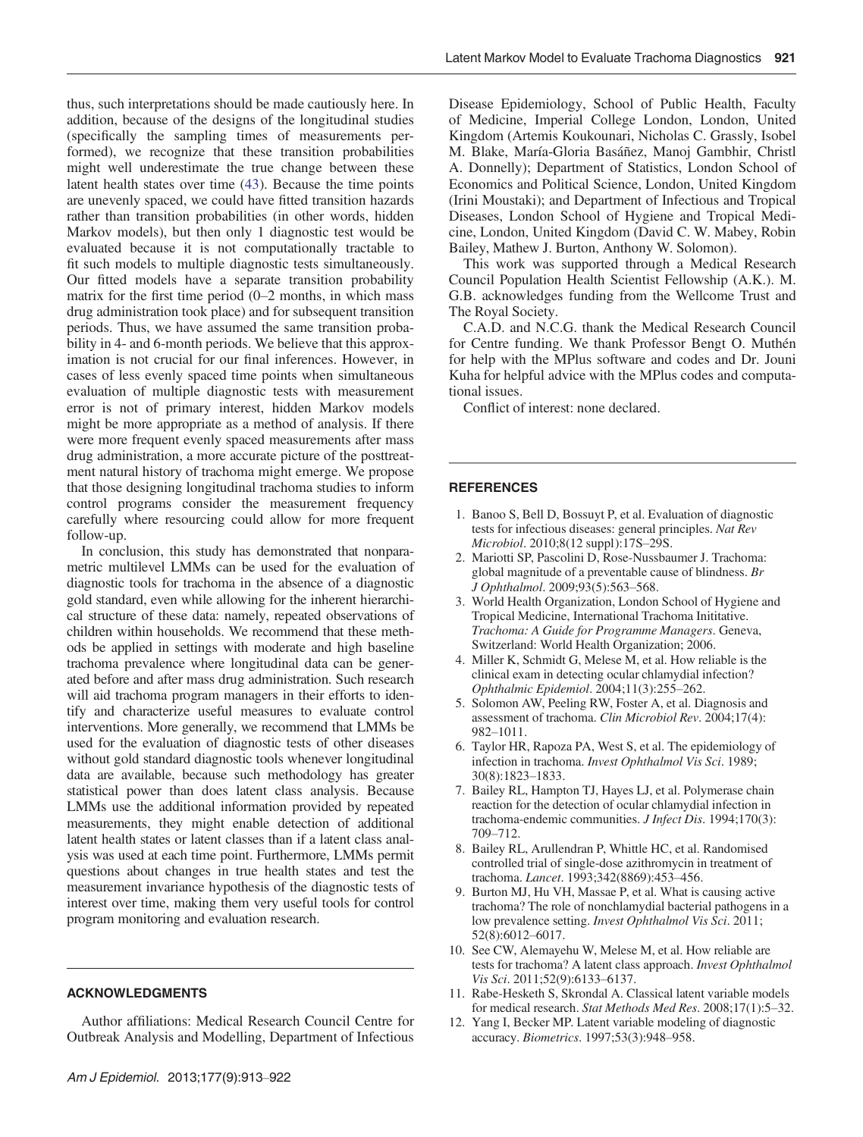<span id="page-8-0"></span>thus, such interpretations should be made cautiously here. In addition, because of the designs of the longitudinal studies (specifically the sampling times of measurements performed), we recognize that these transition probabilities might well underestimate the true change between these latent health states over time ([43\)](#page-9-0). Because the time points are unevenly spaced, we could have fitted transition hazards rather than transition probabilities (in other words, hidden Markov models), but then only 1 diagnostic test would be evaluated because it is not computationally tractable to fit such models to multiple diagnostic tests simultaneously. Our fitted models have a separate transition probability matrix for the first time period (0–2 months, in which mass drug administration took place) and for subsequent transition periods. Thus, we have assumed the same transition probability in 4- and 6-month periods. We believe that this approximation is not crucial for our final inferences. However, in cases of less evenly spaced time points when simultaneous evaluation of multiple diagnostic tests with measurement error is not of primary interest, hidden Markov models might be more appropriate as a method of analysis. If there were more frequent evenly spaced measurements after mass drug administration, a more accurate picture of the posttreatment natural history of trachoma might emerge. We propose that those designing longitudinal trachoma studies to inform control programs consider the measurement frequency carefully where resourcing could allow for more frequent follow-up.

In conclusion, this study has demonstrated that nonparametric multilevel LMMs can be used for the evaluation of diagnostic tools for trachoma in the absence of a diagnostic gold standard, even while allowing for the inherent hierarchical structure of these data: namely, repeated observations of children within households. We recommend that these methods be applied in settings with moderate and high baseline trachoma prevalence where longitudinal data can be generated before and after mass drug administration. Such research will aid trachoma program managers in their efforts to identify and characterize useful measures to evaluate control interventions. More generally, we recommend that LMMs be used for the evaluation of diagnostic tests of other diseases without gold standard diagnostic tools whenever longitudinal data are available, because such methodology has greater statistical power than does latent class analysis. Because LMMs use the additional information provided by repeated measurements, they might enable detection of additional latent health states or latent classes than if a latent class analysis was used at each time point. Furthermore, LMMs permit questions about changes in true health states and test the measurement invariance hypothesis of the diagnostic tests of interest over time, making them very useful tools for control program monitoring and evaluation research.

#### ACKNOWLEDGMENTS

Author affiliations: Medical Research Council Centre for Outbreak Analysis and Modelling, Department of Infectious Disease Epidemiology, School of Public Health, Faculty of Medicine, Imperial College London, London, United Kingdom (Artemis Koukounari, Nicholas C. Grassly, Isobel M. Blake, María-Gloria Basáñez, Manoj Gambhir, Christl A. Donnelly); Department of Statistics, London School of Economics and Political Science, London, United Kingdom (Irini Moustaki); and Department of Infectious and Tropical Diseases, London School of Hygiene and Tropical Medicine, London, United Kingdom (David C. W. Mabey, Robin Bailey, Mathew J. Burton, Anthony W. Solomon).

This work was supported through a Medical Research Council Population Health Scientist Fellowship (A.K.). M. G.B. acknowledges funding from the Wellcome Trust and The Royal Society.

C.A.D. and N.C.G. thank the Medical Research Council for Centre funding. We thank Professor Bengt O. Muthén for help with the MPlus software and codes and Dr. Jouni Kuha for helpful advice with the MPlus codes and computational issues.

Conflict of interest: none declared.

#### **REFERENCES**

- 1. Banoo S, Bell D, Bossuyt P, et al. Evaluation of diagnostic tests for infectious diseases: general principles. Nat Rev Microbiol. 2010;8(12 suppl):17S–29S.
- 2. Mariotti SP, Pascolini D, Rose-Nussbaumer J. Trachoma: global magnitude of a preventable cause of blindness. Br J Ophthalmol. 2009;93(5):563–568.
- 3. World Health Organization, London School of Hygiene and Tropical Medicine, International Trachoma Inititative. Trachoma: A Guide for Programme Managers. Geneva, Switzerland: World Health Organization; 2006.
- 4. Miller K, Schmidt G, Melese M, et al. How reliable is the clinical exam in detecting ocular chlamydial infection? Ophthalmic Epidemiol. 2004;11(3):255–262.
- 5. Solomon AW, Peeling RW, Foster A, et al. Diagnosis and assessment of trachoma. Clin Microbiol Rev. 2004;17(4): 982–1011.
- 6. Taylor HR, Rapoza PA, West S, et al. The epidemiology of infection in trachoma. Invest Ophthalmol Vis Sci. 1989; 30(8):1823–1833.
- 7. Bailey RL, Hampton TJ, Hayes LJ, et al. Polymerase chain reaction for the detection of ocular chlamydial infection in trachoma-endemic communities. J Infect Dis. 1994;170(3): 709–712.
- 8. Bailey RL, Arullendran P, Whittle HC, et al. Randomised controlled trial of single-dose azithromycin in treatment of trachoma. Lancet. 1993;342(8869):453–456.
- 9. Burton MJ, Hu VH, Massae P, et al. What is causing active trachoma? The role of nonchlamydial bacterial pathogens in a low prevalence setting. Invest Ophthalmol Vis Sci. 2011; 52(8):6012–6017.
- 10. See CW, Alemayehu W, Melese M, et al. How reliable are tests for trachoma? A latent class approach. Invest Ophthalmol Vis Sci. 2011;52(9):6133–6137.
- 11. Rabe-Hesketh S, Skrondal A. Classical latent variable models for medical research. Stat Methods Med Res. 2008;17(1):5–32.
- 12. Yang I, Becker MP. Latent variable modeling of diagnostic accuracy. Biometrics. 1997;53(3):948–958.